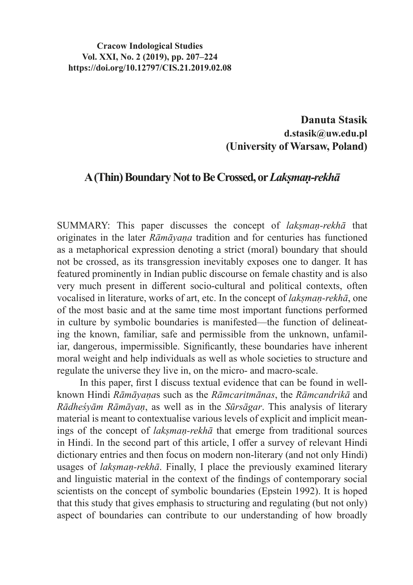#### **Cracow Indological Studies Vol. XXI, No. 2 (2019), pp. 207–224 https://doi.org/10.12797/CIS.21.2019.02.08**

## **Danuta Stasik d.stasik@uw.edu.pl (University of Warsaw, Poland)**

# **A(Thin) Boundary Not to BeCrossed, or** *Lakṣmaṇ-rekhā*

SUMMARY: This paper discusses the concept of *lakṣmaṇ-rekhā* that originates in the later *Rāmāyaṇa* tradition and for centuries has functioned as a metaphorical expression denoting a strict (moral) boundary that should not be crossed, as its transgression inevitably exposes one to danger. It has featured prominently in Indian public discourse on female chastity and is also very much present in different socio-cultural and political contexts, often vocalised in literature, works of art, etc. In the concept of *lakṣmaṇ-rekhā*, one of the most basic and at the same time most important functions performed in culture by symbolic boundaries is manifested—the function of delineating the known, familiar, safe and permissible from the unknown, unfamiliar, dangerous, impermissible. Significantly, these boundaries have inherent moral weight and help individuals as well as whole societies to structure and regulate the universe they live in, on the micro- and macro-scale.

In this paper, first I discuss textual evidence that can be found in wellknown Hindi *Rāmāyaṇa*s such as the *Rāmcaritmānas*, the *Rāmcandrikā* and *Rādheśyām Rāmāyaṇ*, as well as in the *Sūrsāgar*. This analysis of literary material is meant to contextualise various levels of explicit and implicit meanings of the concept of *lakṣmaṇ-rekhā* that emerge from traditional sources in Hindi. In the second part of this article, I offer a survey of relevant Hindi dictionary entries and then focus on modern non-literary (and not only Hindi) usages of *lakṣmaṇ-rekhā*. Finally, I place the previously examined literary and linguistic material in the context of the findings of contemporary social scientists on the concept of symbolic boundaries (Epstein 1992). It is hoped that this study that gives emphasis to structuring and regulating (but not only) aspect of boundaries can contribute to our understanding of how broadly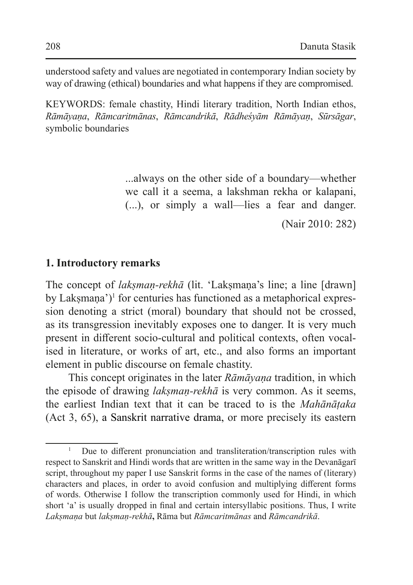understood safety and values are negotiated in contemporary Indian society by way of drawing (ethical) boundaries and what happens if they are compromised.

KEYWORDS: female chastity, Hindi literary tradition, North Indian ethos, *Rāmāyaṇa*, *Rāmcaritmānas*, *Rāmcandrikā*, *Rādheśyām Rāmāyaṇ*, *Sūrsāgar*, symbolic boundaries

> ...always on the other side of a boundary—whether we call it a seema, a lakshman rekha or kalapani, (...), or simply a wall—lies a fear and danger.

> > (Nair 2010: 282)

#### **1. Introductory remarks**

The concept of *laksman-rekhā* (lit. 'Laksmana's line; a line [drawn] by Lakṣmaṇa')<sup>1</sup> for centuries has functioned as a metaphorical expression denoting a strict (moral) boundary that should not be crossed, as its transgression inevitably exposes one to danger. It is very much present in different socio-cultural and political contexts, often vocalised in literature, or works of art, etc., and also forms an important element in public discourse on female chastity.

This concept originates in the later *Rāmāyaṇa* tradition, in which the episode of drawing *lakṣmaṇ-rekhā* is very common. As it seems, the earliest Indian text that it can be traced to is the *Mahānāṭaka*  (Act 3, 65), a Sanskrit narrative drama, or more precisely its eastern

<sup>&</sup>lt;sup>1</sup> Due to different pronunciation and transliteration/transcription rules with respect to Sanskrit and Hindi words that are written in the same way in the Devanāgarī script, throughout my paper I use Sanskrit forms in the case of the names of (literary) characters and places, in order to avoid confusion and multiplying different forms of words. Otherwise I follow the transcription commonly used for Hindi, in which short 'a' is usually dropped in final and certain intersyllabic positions. Thus, I write *Lakṣmaṇa* but *lakṣmaṇ-rekhā***,** Rāma but *Rāmcaritmānas* and *Rāmcandrikā*.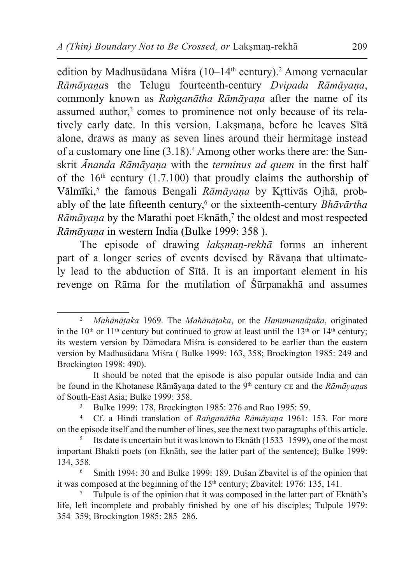edition by Madhusūdana Miśra (10–14<sup>th</sup> century).<sup>2</sup> Among vernacular *Rāmāyaṇa*s the Telugu fourteenth-century *Dvipada Rāmāyaṇa*, commonly known as *Raṅganātha Rāmāyaṇa* after the name of its assumed author,<sup>3</sup> comes to prominence not only because of its relatively early date. In this version, Laksmana, before he leaves Sītā alone, draws as many as seven lines around their hermitage instead of a customary one line (3.18).<sup>4</sup> Among other works there are: the Sanskrit *Ānanda Rāmāyaṇa* with the *terminus ad quem* in the first half of the  $16<sup>th</sup>$  century (1.7.100) that proudly claims the authorship of Vālmīki,<sup>5</sup> the famous Bengali *Rāmāyana* by Krttivās Ojhā, probably of the late fifteenth century,<sup>6</sup> or the sixteenth-century *Bhāvārtha Rāmāyaṇa* by the Marathi poet Eknāth,<sup>7</sup> the oldest and most respected *Rāmāyaṇa* in western India (Bulke 1999: 358 ).

The episode of drawing *lakṣmaṇ-rekhā* forms an inherent part of a longer series of events devised by Rāvana that ultimately lead to the abduction of Sītā. It is an important element in his revenge on Rāma for the mutilation of Śūrpanakhā and assumes

<sup>2</sup> *Mahānāṭaka* 1969. The *Mahānāṭaka*, or the *Hanumannāṭaka*, originated in the  $10<sup>th</sup>$  or  $11<sup>th</sup>$  century but continued to grow at least until the  $13<sup>th</sup>$  or  $14<sup>th</sup>$  century; its western version by Dāmodara Miśra is considered to be earlier than the eastern version by Madhusūdana Miśra ( Bulke 1999: 163, 358; Brockington 1985: 249 and Brockington 1998: 490).

It should be noted that the episode is also popular outside India and can be found in the Khotanese Rāmāyaṇa dated to the 9<sup>th</sup> century CE and the *Rāmāyaṇas* of South-East Asia; Bulke 1999: 358.

<sup>3</sup> Bulke 1999: 178, Brockington 1985: 276 and Rao 1995: 59. 4 Cf. a Hindi translation of *Raṅganātha Rāmāyaṇa* 1961: 153. For more

on the episode itself and the number of lines, see the next two paragraphs of this article.

Its date is uncertain but it was known to Eknāth (1533–1599), one of the most important Bhakti poets (on Eknāth, see the latter part of the sentence); Bulke 1999: 134, 358.

<sup>6</sup> Smith 1994: 30 and Bulke 1999: 189. Dušan Zbavitel is of the opinion that it was composed at the beginning of the  $15<sup>th</sup>$  century; Zbavitel: 1976: 135, 141.

<sup>7</sup> Tulpule is of the opinion that it was composed in the latter part of Eknāth's life, left incomplete and probably finished by one of his disciples; Tulpule 1979: 354–359; Brockington 1985: 285–286.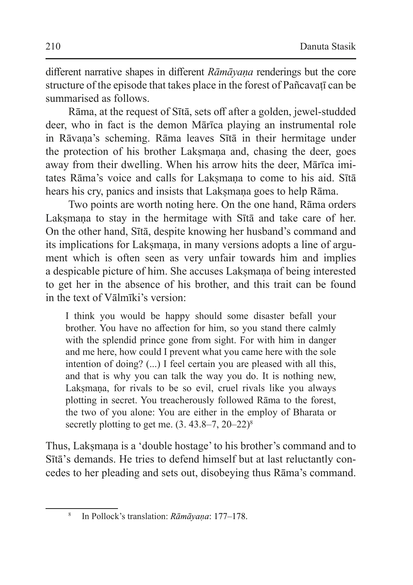different narrative shapes in different *Rāmāyaṇa* renderings but the core structure of the episode that takes place in the forest of Pañcavati can be summarised as follows.

Rāma, at the request of Sītā, sets off after a golden, jewel-studded deer, who in fact is the demon Mārīca playing an instrumental role in Rāvaṇa's scheming. Rāma leaves Sītā in their hermitage under the protection of his brother Laksmana and, chasing the deer, goes away from their dwelling. When his arrow hits the deer, Mārīca imitates Rāma's voice and calls for Lakṣmaṇa to come to his aid. Sītā hears his cry, panics and insists that Laksmana goes to help Rāma.

Two points are worth noting here. On the one hand, Rāma orders Lakṣmaṇa to stay in the hermitage with Sītā and take care of her. On the other hand, Sītā, despite knowing her husband's command and its implications for Lakṣmaṇa, in many versions adopts a line of argument which is often seen as very unfair towards him and implies a despicable picture of him. She accuses Laksmana of being interested to get her in the absence of his brother, and this trait can be found in the text of Vālmīki's version:

I think you would be happy should some disaster befall your brother. You have no affection for him, so you stand there calmly with the splendid prince gone from sight. For with him in danger and me here, how could I prevent what you came here with the sole intention of doing? (...) I feel certain you are pleased with all this, and that is why you can talk the way you do. It is nothing new, Lakṣmaṇa, for rivals to be so evil, cruel rivals like you always plotting in secret. You treacherously followed Rāma to the forest, the two of you alone: You are either in the employ of Bharata or secretly plotting to get me.  $(3.43.8-7, 20-22)^8$ 

Thus, Lakṣmaṇa is a 'double hostage' to his brother's command and to Sītā's demands. He tries to defend himself but at last reluctantly concedes to her pleading and sets out, disobeying thus Rāma's command.

<sup>8</sup> In Pollock's translation: *Rāmāyaṇa*: 177–178.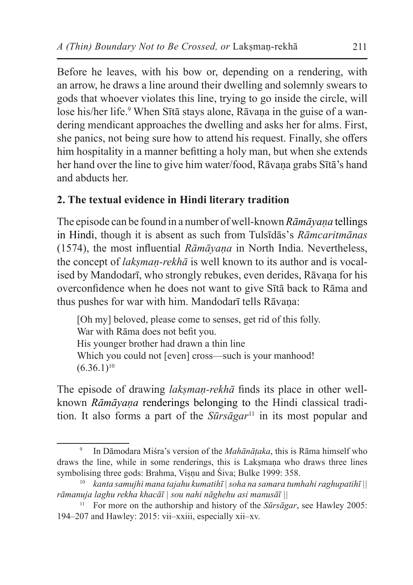Before he leaves, with his bow or, depending on a rendering, with an arrow, he draws a line around their dwelling and solemnly swears to gods that whoever violates this line, trying to go inside the circle, will lose his/her life.<sup>9</sup> When Sītā stays alone, Rāvaṇa in the guise of a wandering mendicant approaches the dwelling and asks her for alms. First, she panics, not being sure how to attend his request. Finally, she offers him hospitality in a manner befitting a holy man, but when she extends her hand over the line to give him water/food, Rāvaṇa grabs Sītā's hand and abducts her.

## **2. The textual evidence in Hindi literary tradition**

The episode can be found in a number of well-known *Rāmāyaṇa* tellings in Hindi, though it is absent as such from Tulsīdās's *Rāmcaritmānas*  (1574), the most influential *Rāmāyaṇa* in North India. Nevertheless, the concept of *lakṣmaṇ-rekhā* is well known to its author and is vocalised by Mandodarī, who strongly rebukes, even derides, Rāvana for his overconfidence when he does not want to give Sītā back to Rāma and thus pushes for war with him. Mandodarī tells Rāvaṇa:

[Oh my] beloved, please come to senses, get rid of this folly. War with Rāma does not befit you. His younger brother had drawn a thin line Which you could not [even] cross—such is your manhood!  $(6.36.1)^{10}$ 

The episode of drawing *lakṣmaṇ-rekhā* finds its place in other wellknown *Rāmāyaṇa* renderings belonging to the Hindi classical tradition. It also forms a part of the *Sūrsāgar*<sup>11</sup> in its most popular and

<sup>9</sup> In Dāmodara Miśra's version of the *Mahānāṭaka*, this is Rāma himself who draws the line, while in some renderings, this is Laksmana who draws three lines symbolising three gods: Brahma, Visnu and Śiva; Bulke 1999: 358.

<sup>10</sup> *kanta samujhi mana tajahu kumatihī | soha na samara tumhahi raghupatihī || rāmanuja laghu rekha khacāī | sou nahi nāghehu asi manusāī ||*

<sup>11</sup> For more on the authorship and history of the *Sūrsāgar*, see Hawley 2005: 194–207 and Hawley: 2015: vii–xxiii, especially xii–xv.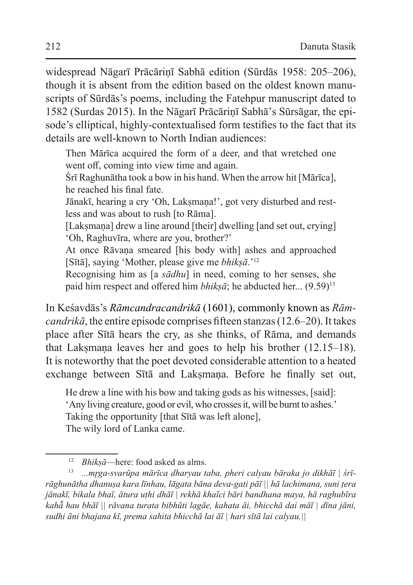widespread Nāgarī Prācārinī Sabhā edition (Sūrdās 1958: 205–206), though it is absent from the edition based on the oldest known manuscripts of Sūrdās's poems, including the Fatehpur manuscript dated to 1582 (Surdas 2015). In the Nāgarī Prācāriṇī Sabhā's Sūrsāgar, the episode's elliptical, highly-contextualised form testifies to the fact that its details are well-known to North Indian audiences:

Then Mārīca acquired the form of a deer, and that wretched one went off, coming into view time and again.

Śrī Raghunātha took a bow in his hand. When the arrow hit [Mārīca], he reached his final fate.

Jānakī, hearing a cry 'Oh, Lakṣmaṇa!', got very disturbed and restless and was about to rush [to Rāma].

[Lakṣmaṇa] drew a line around [their] dwelling [and set out, crying] 'Oh, Raghuvīra, where are you, brother?'

At once Rāvaṇa smeared [his body with] ashes and approached [Sītā], saying 'Mother, please give me *bhikṣā*.'<sup>12</sup>

Recognising him as [a *sādhu*] in need, coming to her senses, she paid him respect and offered him *bhikṣā*; he abducted her... (9.59)<sup>13</sup>

In Keśavdās's *Rāmcandracandrikā* (1601), commonly known as *Rāmcandrikā*, the entire episode comprises fifteen stanzas (12.6–20). It takes place after Sītā hears the cry, as she thinks, of Rāma, and demands that Laksmana leaves her and goes to help his brother  $(12.15-18)$ . It is noteworthy that the poet devoted considerable attention to a heated exchange between Sītā and Lakṣmaṇa. Before he finally set out,

He drew a line with his bow and taking gods as his witnesses, [said]: 'Any living creature, good or evil, who crosses it, will be burnt to ashes.' Taking the opportunity [that Sītā was left alone], The wily lord of Lanka came.

<sup>&</sup>lt;sup>12</sup> *Bhikṣā*—here: food asked as alms.<br><sup>13</sup> *mrga-syarūna mārīca dharyau t* 

<sup>13</sup> *...mr̥ga-svarūpa mārīca dharyau taba, pheri calyau bāraka jo dikhāī | śrīrāghunātha dhanuṣa kara līnhau, lāgata bāna deva-gati pāī || hā lachimana, suni ṭera jānakī, bikala bhaī, ātura uṭhi dhāī | rekhā khaĩci bāri bandhana maya, hā raghubīra kahā̃ hau bhāī || rāvana turata bibhūti lagāe, kahata āi, bhicchā dai māī | dīna jāni, sudhi āni bhajana kī, prema sahita bhicchā lai āī | hari sītā lai calyau.||*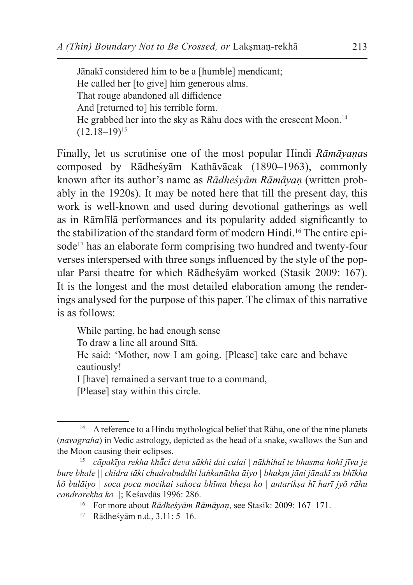Jānakī considered him to be a [humble] mendicant; He called her [to give] him generous alms. That rouge abandoned all diffidence And [returned to] his terrible form. He grabbed her into the sky as Rāhu does with the crescent Moon.<sup>14</sup>  $(12.18-19)^{15}$ 

Finally, let us scrutinise one of the most popular Hindi *Rāmāyaṇa*s composed by Rādheśyām Kathāvācak (1890–1963), commonly known after its author's name as *Rādheśyām Rāmāyaṇ* (written probably in the 1920s). It may be noted here that till the present day, this work is well-known and used during devotional gatherings as well as in Rāmlīlā performances and its popularity added significantly to the stabilization of the standard form of modern Hindi.<sup>16</sup> The entire episode<sup>17</sup> has an elaborate form comprising two hundred and twenty-four verses interspersed with three songs influenced by the style of the popular Parsi theatre for which Rādheśyām worked (Stasik 2009: 167). It is the longest and the most detailed elaboration among the renderings analysed for the purpose of this paper. The climax of this narrative is as follows:

While parting, he had enough sense

To draw a line all around Sītā.

He said: 'Mother, now I am going. [Please] take care and behave cautiously!

I [have] remained a servant true to a command,

[Please] stay within this circle.

<sup>&</sup>lt;sup>14</sup> A reference to a Hindu mythological belief that Rāhu, one of the nine planets (*navagraha*) in Vedic astrology, depicted as the head of a snake, swallows the Sun and the Moon causing their eclipses.

<sup>15</sup> *cāpakīya rekha khā̃ci deva sākhi dai calai | nākhihaĩ te bhasma hohĩ jīva je bure bhale || chidra tāki chudrabuddhi laṅkanātha āiyo | bhakṣu jāni jānakī su bhīkha kõ bulāiyo | soca poca mocikai sakoca bhīma bheṣa ko | antarikṣa hī harī jyõ rāhu candrarekha ko ||*; Keśavdās 1996: 286.

<sup>16</sup> For more about *Rādheśyām Rāmāyaṇ*, see Stasik: 2009: 167–171.

<sup>17</sup> Rādheśyām n.d., 3.11: 5–16.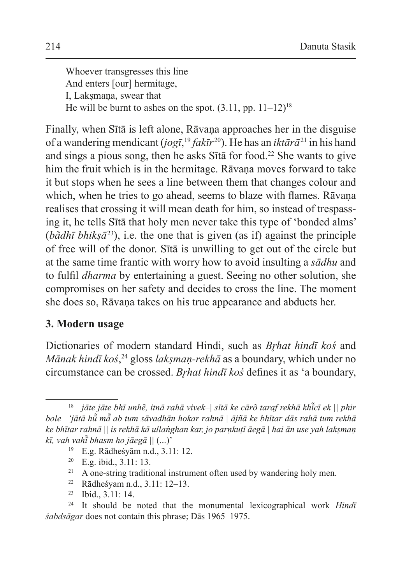Whoever transgresses this line And enters [our] hermitage, I. Laksmana, swear that He will be burnt to ashes on the spot.  $(3.11, pp. 11-12)^{18}$ 

Finally, when Sītā is left alone, Rāvaṇa approaches her in the disguise of a wandering mendicant (*jogī*, <sup>19</sup> *fakīr* <sup>20</sup>). He has an *iktārā*21 in his hand and sings a pious song, then he asks  $S$ ītā for food.<sup>22</sup> She wants to give him the fruit which is in the hermitage. Rāvana moves forward to take it but stops when he sees a line between them that changes colour and which, when he tries to go ahead, seems to blaze with flames. Rāvana realises that crossing it will mean death for him, so instead of trespassing it, he tells Sītā that holy men never take this type of 'bonded alms' (*bãdhī bhikṣā*<sup>23</sup>), i.e. the one that is given (as if) against the principle of free will of the donor. Sītā is unwilling to get out of the circle but at the same time frantic with worry how to avoid insulting a *sādhu* and to fulfil *dharma* by entertaining a guest. Seeing no other solution, she compromises on her safety and decides to cross the line. The moment she does so, Rāvaṇa takes on his true appearance and abducts her.

### **3. Modern usage**

Dictionaries of modern standard Hindi, such as *Brhat hindī koś* and *Mānak hindī koś*, <sup>24</sup> gloss *lakṣmaṇ-rekhā* as a boundary, which under no circumstance can be crossed. *Brhat hindī koś* defines it as 'a boundary,

<sup>18</sup> *jāte jāte bhī unhẽ, itnā rahā vivek–| sītā ke cārõ taraf rekhā khī̃cī ek || phir bole– 'jātā hū̃ mā̃ ab tum sāvadhān hokar rahnā | ājñā ke bhītar dās rahā tum rekhā ke bhītar rahnā || is rekhā kā ullaṅghan kar, jo parṇkuṭī āegā | hai ān use yah lakṣmaṇ kī, vah vahī̃ bhasm ho jāegā ||* (...)'

<sup>19</sup> E.g. Rādheśyām n.d., 3.11: 12.

<sup>20</sup> E.g. ibid., 3.11: 13.

 $21$  A one-string traditional instrument often used by wandering holy men.

<sup>22</sup> Rādheśyam n.d., 3.11: 12–13.

<sup>23</sup> Ibid., 3.11: 14.

<sup>24</sup> It should be noted that the monumental lexicographical work *Hindī śabdsāgar* does not contain this phrase; Dās 1965–1975.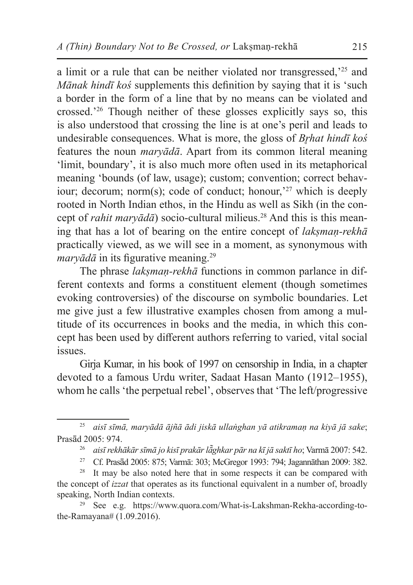a limit or a rule that can be neither violated nor transgressed,'25 and *Mānak hindī koś* supplements this definition by saying that it is 'such a border in the form of a line that by no means can be violated and crossed.'<sup>26</sup> Though neither of these glosses explicitly says so, this is also understood that crossing the line is at one's peril and leads to undesirable consequences. What is more, the gloss of *Brhat hindī koś* features the noun *maryādā*. Apart from its common literal meaning 'limit, boundary', it is also much more often used in its metaphorical meaning 'bounds (of law, usage); custom; convention; correct behaviour; decorum; norm(s); code of conduct; honour, $27$  which is deeply rooted in North Indian ethos, in the Hindu as well as Sikh (in the concept of *rahit maryādā*) socio-cultural milieus.28 And this is this meaning that has a lot of bearing on the entire concept of *lakṣmaṇ-rekhā* practically viewed, as we will see in a moment, as synonymous with *maryādā* in its figurative meaning.<sup>29</sup>

The phrase *lakṣmaṇ-rekhā* functions in common parlance in different contexts and forms a constituent element (though sometimes evoking controversies) of the discourse on symbolic boundaries. Let me give just a few illustrative examples chosen from among a multitude of its occurrences in books and the media, in which this concept has been used by different authors referring to varied, vital social issues.

Girja Kumar, in his book of 1997 on censorship in India, in a chapter devoted to a famous Urdu writer, Sadaat Hasan Manto (1912–1955), whom he calls 'the perpetual rebel', observes that 'The left/progressive

<sup>29</sup> See e.g. https://www.quora.com/What-is-Lakshman-Rekha-according-tothe-Ramayana# (1.09.2016).

<sup>25</sup> *aisī sīmā, maryādā ājñā ādi jiskā ullaṅghan yā atikramaṇ na kiyā jā sake*; Prasād 2005: 974.

<sup>26</sup> *aisī rekhākār sīmā jo kisī prakār lā̃ghkar pār na kī jā saktī ho*; Varmā 2007: 542.

<sup>&</sup>lt;sup>27</sup> Cf. Prasād 2005: 875; Varmā: 303; McGregor 1993: 794; Jagannāthan 2009: 382.<br><sup>28</sup> It may be also noted here that in some respects it can be compared with

It may be also noted here that in some respects it can be compared with the concept of *izzat* that operates as its functional equivalent in a number of, broadly speaking, North Indian contexts.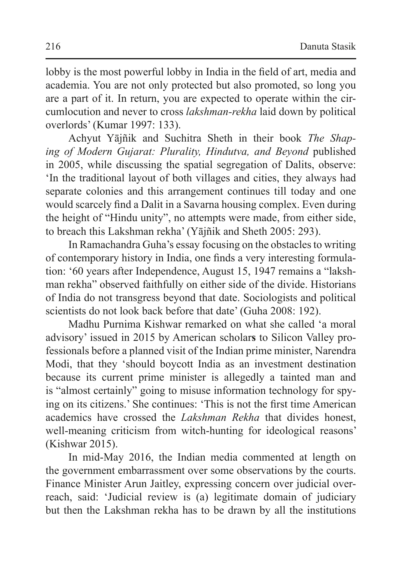lobby is the most powerful lobby in India in the field of art, media and academia. You are not only protected but also promoted, so long you are a part of it. In return, you are expected to operate within the circumlocution and never to cross *lakshman-rekha* laid down by political overlords' (Kumar 1997: 133).

Achyut Yājñik and Suchitra Sheth in their book *The Shaping of Modern Gujarat: Plurality, Hindutva, and Beyond* published in 2005, while discussing the spatial segregation of Dalits, observe: 'In the traditional layout of both villages and cities, they always had separate colonies and this arrangement continues till today and one would scarcely find a Dalit in a Savarna housing complex. Even during the height of "Hindu unity", no attempts were made, from either side, to breach this Lakshman rekha' (Yājñik and Sheth 2005: 293).

In Ramachandra Guha's essay focusing on the obstacles to writing of contemporary history in India, one finds a very interesting formulation: '60 years after Independence, August 15, 1947 remains a "lakshman rekha" observed faithfully on either side of the divide. Historians of India do not transgress beyond that date. Sociologists and political scientists do not look back before that date' (Guha 2008: 192).

Madhu Purnima Kishwar remarked on what she called 'a moral advisory' issued in 2015 by American scholar**s** to Silicon Valley professionals before a planned visit of the Indian prime minister, Narendra Modi, that they 'should boycott India as an investment destination because its current prime minister is allegedly a tainted man and is "almost certainly" going to misuse information technology for spying on its citizens.' She continues: 'This is not the first time American academics have crossed the *Lakshman Rekha* that divides honest, well-meaning criticism from witch-hunting for ideological reasons' (Kishwar 2015).

In mid-May 2016, the Indian media commented at length on the government embarrassment over some observations by the courts. Finance Minister Arun Jaitley, expressing concern over judicial overreach, said: 'Judicial review is (a) legitimate domain of judiciary but then the Lakshman rekha has to be drawn by all the institutions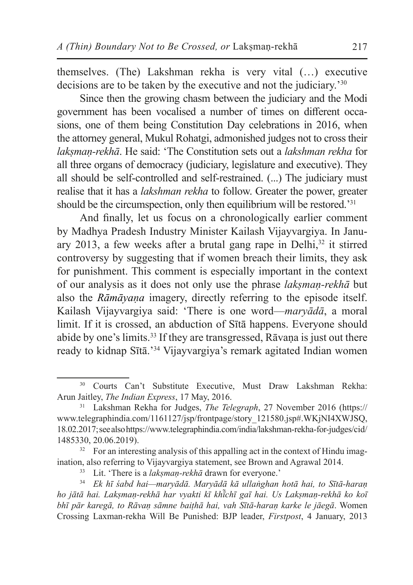themselves. (The) Lakshman rekha is very vital (…) executive decisions are to be taken by the executive and not the judiciary.<sup>30</sup>

Since then the growing chasm between the judiciary and the Modi government has been vocalised a number of times on different occasions, one of them being Constitution Day celebrations in 2016, when the attorney general, Mukul Rohatgi, admonished judges not to cross their *lakṣmaṇ-rekhā*. He said: 'The Constitution sets out a *lakshman rekha* for all three organs of democracy (judiciary, legislature and executive). They all should be self-controlled and self-restrained. (...) The judiciary must realise that it has a *lakshman rekha* to follow. Greater the power, greater should be the circumspection, only then equilibrium will be restored.'<sup>31</sup>

And finally, let us focus on a chronologically earlier comment by Madhya Pradesh Industry Minister Kailash Vijayvargiya. In January 2013, a few weeks after a brutal gang rape in Delhi, $32$  it stirred controversy by suggesting that if women breach their limits, they ask for punishment. This comment is especially important in the context of our analysis as it does not only use the phrase *lakṣmaṇ-rekhā* but also the *Rāmāyaṇa* imagery, directly referring to the episode itself. Kailash Vijayvargiya said: 'There is one word—*maryādā*, a moral limit. If it is crossed, an abduction of Sītā happens. Everyone should abide by one's limits.<sup>33</sup> If they are transgressed, Rāvana is just out there ready to kidnap Sītā.'34 Vijayvargiya's remark agitated Indian women

<sup>30</sup> Courts Can't Substitute Executive, Must Draw Lakshman Rekha: Arun Jaitley, *The Indian Express*, 17 May, 2016.

<sup>31</sup> Lakshman Rekha for Judges, *The Telegraph*, 27 November 2016 (https:// www.telegraphindia.com/1161127/jsp/frontpage/story\_121580.jsp#.WKjNI4XWJSQ, 18.02.2017; see also https://www.telegraphindia.com/india/lakshman-rekha-for-judges/cid/ 1485330, 20.06.2019).

<sup>&</sup>lt;sup>32</sup> For an interesting analysis of this appalling act in the context of Hindu imagination, also referring to Vijayvargiya statement, see Brown and Agrawal 2014.

<sup>33</sup> Lit. 'There is a *lakṣmaṇ-rekhā* drawn for everyone.'

<sup>34</sup> *Ek hī śabd hai—maryādā. Maryādā kā ullaṅghan hotā hai, to Sītā-haraṇ ho jātā hai. Lakṣmaṇ-rekhā har vyakti kī khī̃chī gaī hai. Us Lakṣmaṇ-rekhā ko koī bhī pār karegā, to Rāvaṇ sāmne baiṭhā hai, vah Sītā-haraṇ karke le jāegā*. Women Crossing Laxman-rekha Will Be Punished: BJP leader, *Firstpost*, 4 January, 2013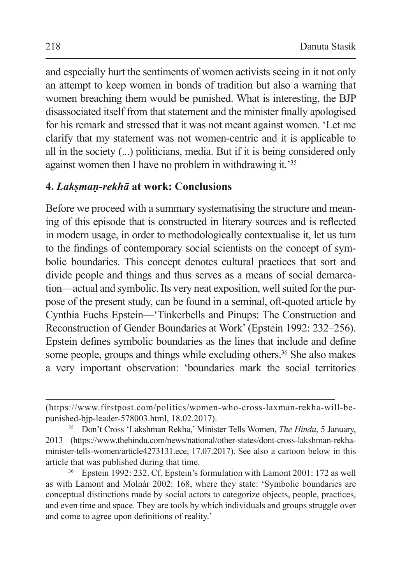and especially hurt the sentiments of women activists seeing in it not only an attempt to keep women in bonds of tradition but also a warning that women breaching them would be punished. What is interesting, the BJP disassociated itself from that statement and the minister finally apologised for his remark and stressed that it was not meant against women. 'Let me clarify that my statement was not women-centric and it is applicable to all in the society (...) politicians, media. But if it is being considered only against women then I have no problem in withdrawing it.'<sup>35</sup>

### **4.** *Lakṣmaṇ-rekhā* **at work: Conclusions**

Before we proceed with a summary systematising the structure and meaning of this episode that is constructed in literary sources and is reflected in modern usage, in order to methodologically contextualise it, let us turn to the findings of contemporary social scientists on the concept of symbolic boundaries. This concept denotes cultural practices that sort and divide people and things and thus serves as a means of social demarcation—actual and symbolic. Its very neat exposition, well suited for the purpose of the present study, can be found in a seminal, oft-quoted article by Cynthia Fuchs Epstein—'Tinkerbells and Pinups: The Construction and Reconstruction of Gender Boundaries at Work' (Epstein 1992: 232–256). Epstein defines symbolic boundaries as the lines that include and define some people, groups and things while excluding others.<sup>36</sup> She also makes a very important observation: 'boundaries mark the social territories

<sup>(</sup>https://www.firstpost.com/politics/women-who-cross-laxman-rekha-will-bepunished-bjp-leader-578003.html, 18.02.2017).

<sup>35</sup> Don't Cross 'Lakshman Rekha,' Minister Tells Women, *The Hindu*, 5 January, 2013 (https://www.thehindu.com/news/national/other-states/dont-cross-lakshman-rekhaminister-tells-women/article4273131.ece, 17.07.2017). See also a cartoon below in this article that was published during that time.

<sup>36</sup> Epstein 1992: 232. Cf. Epstein's formulation with Lamont 2001: 172 as well as with Lamont and Molnár 2002: 168, where they state: 'Symbolic boundaries are conceptual distinctions made by social actors to categorize objects, people, practices, and even time and space. They are tools by which individuals and groups struggle over and come to agree upon definitions of reality.'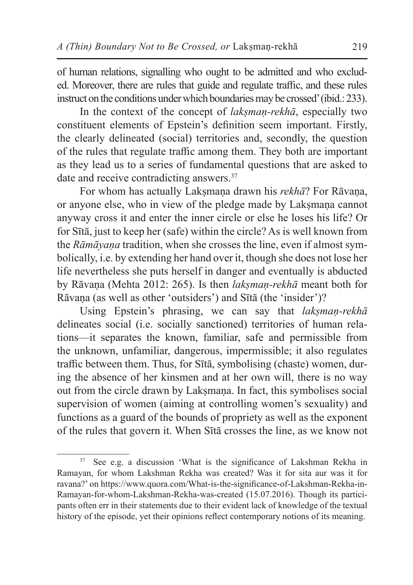of human relations, signalling who ought to be admitted and who excluded. Moreover, there are rules that guide and regulate traffic, and these rules instruct on the conditions under which boundaries may be crossed' (ibid.: 233).

In the context of the concept of *lakṣmaṇ-rekhā*, especially two constituent elements of Epstein's definition seem important. Firstly, the clearly delineated (social) territories and, secondly, the question of the rules that regulate traffic among them. They both are important as they lead us to a series of fundamental questions that are asked to date and receive contradicting answers.<sup>37</sup>

For whom has actually Laksmana drawn his *rekhā*? For Rāvana, or anyone else, who in view of the pledge made by Laksmana cannot anyway cross it and enter the inner circle or else he loses his life? Or for Sītā, just to keep her (safe) within the circle? As is well known from the *Rāmāyaṇa* tradition, when she crosses the line, even if almost symbolically, i.e. by extending her hand over it, though she does not lose her life nevertheless she puts herself in danger and eventually is abducted by Rāvaṇa (Mehta 2012: 265). Is then *lakṣmaṇ-rekhā* meant both for Rāvaṇa (as well as other 'outsiders') and Sītā (the 'insider')?

Using Epstein's phrasing, we can say that *lakṣmaṇ-rekhā*  delineates social (i.e. socially sanctioned) territories of human relations—it separates the known, familiar, safe and permissible from the unknown, unfamiliar, dangerous, impermissible; it also regulates traffic between them. Thus, for Sītā, symbolising (chaste) women, during the absence of her kinsmen and at her own will, there is no way out from the circle drawn by Laksmana. In fact, this symbolises social supervision of women (aiming at controlling women's sexuality) and functions as a guard of the bounds of propriety as well as the exponent of the rules that govern it. When Sītā crosses the line, as we know not

See e.g. a discussion 'What is the significance of Lakshman Rekha in Ramayan, for whom Lakshman Rekha was created? Was it for sita aur was it for ravana?' on https://www.quora.com/What-is-the-significance-of-Lakshman-Rekha-in-Ramayan-for-whom-Lakshman-Rekha-was-created (15.07.2016). Though its participants often err in their statements due to their evident lack of knowledge of the textual history of the episode, yet their opinions reflect contemporary notions of its meaning.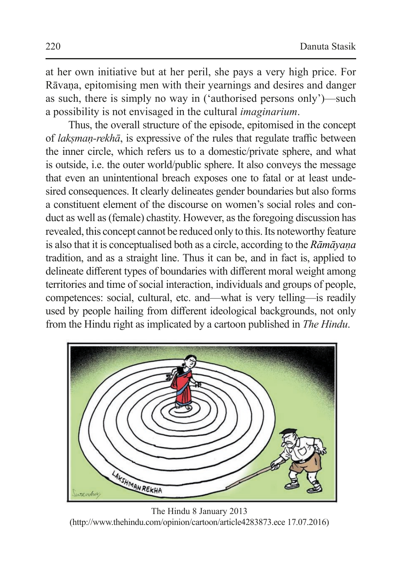at her own initiative but at her peril, she pays a very high price. For Rāvaṇa, epitomising men with their yearnings and desires and danger as such, there is simply no way in ('authorised persons only')—such a possibility is not envisaged in the cultural *imaginarium*.

Thus, the overall structure of the episode, epitomised in the concept of *lakṣmaṇ-rekhā*, is expressive of the rules that regulate traffic between the inner circle, which refers us to a domestic/private sphere, and what is outside, i.e. the outer world/public sphere. It also conveys the message that even an unintentional breach exposes one to fatal or at least undesired consequences. It clearly delineates gender boundaries but also forms a constituent element of the discourse on women's social roles and conduct as well as (female) chastity. However, as the foregoing discussion has revealed, this concept cannot be reduced only to this. Its noteworthy feature is also that it is conceptualised both as a circle, according to the *Rāmāyaṇa* tradition, and as a straight line. Thus it can be, and in fact is, applied to delineate different types of boundaries with different moral weight among territories and time of social interaction, individuals and groups of people, competences: social, cultural, etc. and—what is very telling—is readily used by people hailing from different ideological backgrounds, not only from the Hindu right as implicated by a cartoon published in *The Hindu*.



The Hindu 8 January 2013 (http://www.thehindu.com/opinion/cartoon/article4283873.ece 17.07.2016)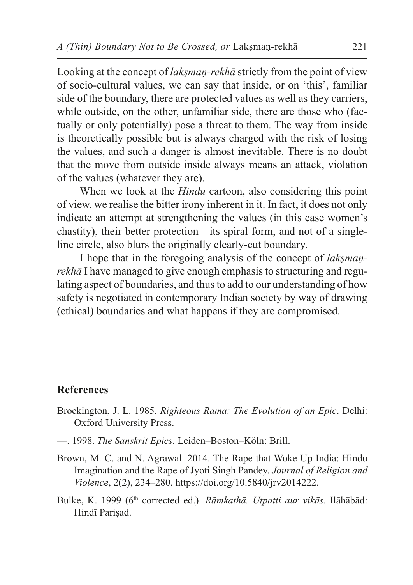Looking at the concept of *lakṣmaṇ-rekhā* strictly from the point of view of socio-cultural values, we can say that inside, or on 'this', familiar side of the boundary, there are protected values as well as they carriers, while outside, on the other, unfamiliar side, there are those who (factually or only potentially) pose a threat to them. The way from inside is theoretically possible but is always charged with the risk of losing the values, and such a danger is almost inevitable. There is no doubt that the move from outside inside always means an attack, violation of the values (whatever they are).

When we look at the *Hindu* cartoon, also considering this point of view, we realise the bitter irony inherent in it. In fact, it does not only indicate an attempt at strengthening the values (in this case women's chastity), their better protection—its spiral form, and not of a singleline circle, also blurs the originally clearly-cut boundary.

I hope that in the foregoing analysis of the concept of *lakṣmaṇrekhā* I have managed to give enough emphasis to structuring and regulating aspect of boundaries, and thus to add to our understanding of how safety is negotiated in contemporary Indian society by way of drawing (ethical) boundaries and what happens if they are compromised.

#### **References**

- Brockington, J. L. 1985. *Righteous Rāma: The Evolution of an Epic*. Delhi: Oxford University Press.
- —. 1998. *The Sanskrit Epics*. Leiden–Boston–Köln: Brill.
- Brown, M. C. and N. Agrawal. 2014. The Rape that Woke Up India: Hindu Imagination and the Rape of Jyoti Singh Pandey. *Journal of Religion and Violence*, 2(2), 234–280. https://doi.org/10.5840/jrv2014222.
- Bulke, K. 1999 (6<sup>th</sup> corrected ed.). *Rāmkathā. Utpatti aur vikās*. Ilāhābād: Hindī Pariṣad.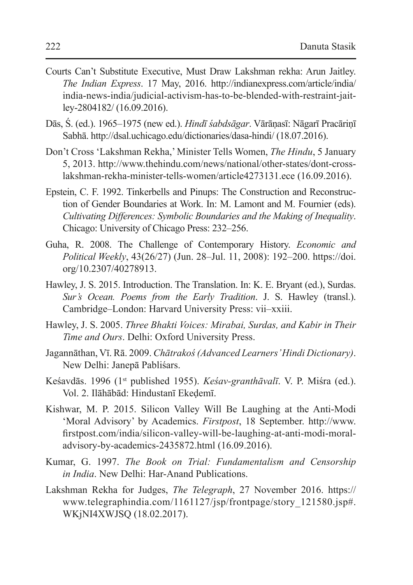- Courts Can't Substitute Executive, Must Draw Lakshman rekha: Arun Jaitley. *The Indian Express*. 17 May, 2016. http://indianexpress.com/article/india/ india-news-india/judicial-activism-has-to-be-blended-with-restraint-jaitley-2804182/ (16.09.2016).
- Dās, Ś. (ed.). 1965–1975 (new ed.). *Hindī śabdsāgar*. Vārāṇasī: Nāgarī Pracāriṇī Sabhā. http://dsal.uchicago.edu/dictionaries/dasa-hindi/ (18.07.2016).
- Don't Cross 'Lakshman Rekha,' Minister Tells Women, *The Hindu*, 5 January 5, 2013. http://www.thehindu.com/news/national/other-states/dont-crosslakshman-rekha-minister-tells-women/article4273131.ece (16.09.2016).
- Epstein, C. F. 1992. Tinkerbells and Pinups: The Construction and Reconstruction of Gender Boundaries at Work. In: M. Lamont and M. Fournier (eds). *Cultivating Differences: Symbolic Boundaries and the Making of Inequality*. Chicago: University of Chicago Press: 232–256.
- Guha, R. 2008. The Challenge of Contemporary History. *Economic and Political Weekly*, 43(26/27) (Jun. 28–Jul. 11, 2008): 192–200. https://doi. org/10.2307/40278913.
- Hawley, J. S. 2015. Introduction. The Translation. In: K. E. Bryant (ed.), Surdas. *Sur's Ocean. Poems from the Early Tradition*. J. S. Hawley (transl.). Cambridge–London: Harvard University Press: vii–xxiii.
- Hawley, J. S. 2005. *Three Bhakti Voices: Mirabai, Surdas, and Kabir in Their Time and Ours*. Delhi: Oxford University Press.
- Jagannāthan, Vī. Rā. 2009. *Chātrakoś (Advanced Learners' Hindi Dictionary)*. New Delhi: Janepā Pabliśars.
- Keśavdās. 1996 (1st published 1955). *Keśav-granthāvalī*. V. P. Miśra (ed.). Vol. 2. Ilāhābād: Hindustanī Ekeḍemī.
- Kishwar, M. P. 2015. Silicon Valley Will Be Laughing at the Anti-Modi 'Moral Advisory' by Academics. *Firstpost*, 18 September. http://www. firstpost.com/india/silicon-valley-will-be-laughing-at-anti-modi-moraladvisory-by-academics-2435872.html (16.09.2016).
- Kumar, G. 1997. *The Book on Trial: Fundamentalism and Censorship in India*. New Delhi: Har-Anand Publications.
- Lakshman Rekha for Judges, *The Telegraph*, 27 November 2016. https:// www.telegraphindia.com/1161127/jsp/frontpage/story\_121580.jsp#. WKjNI4XWJSQ (18.02.2017).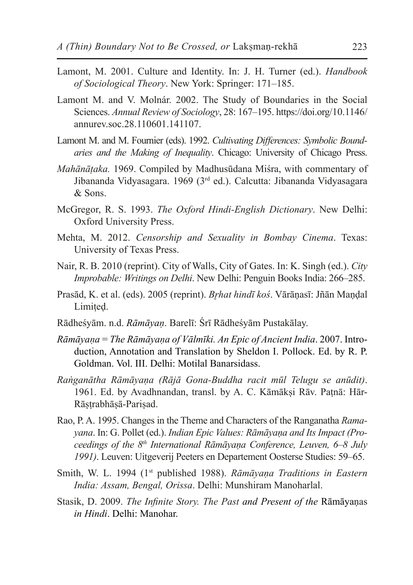- Lamont, M. 2001. Culture and Identity. In: J. H. Turner (ed.). *Handbook of Sociological Theory*. New York: Springer: 171–185.
- Lamont M. and V. Molnár. 2002. The Study of Boundaries in the Social Sciences. *Annual Review of Sociology*, 28: 167–195. https://doi.org/10.1146/ annurev.soc.28.110601.141107.
- Lamont M. and M. Fournier (eds). 1992. *Cultivating Differences: Symbolic Boundaries and the Making of Inequality*. Chicago: University of Chicago Press.
- *Mahānāṭaka.* 1969. Compiled by Madhusūdana Miśra, with commentary of Jibananda Vidyasagara. 1969 (3rd ed.). Calcutta: Jibananda Vidyasagara & Sons.
- McGregor, R. S. 1993. *The Oxford Hindi-English Dictionary*. New Delhi: Oxford University Press.
- Mehta, M. 2012. *Censorship and Sexuality in Bombay Cinema*. Texas: University of Texas Press.
- Nair, R. B. 2010 (reprint). City of Walls, City of Gates. In: K. Singh (ed.). *City Improbable: Writings on Delhi*. New Delhi: Penguin Books India: 266–285.
- Prasād, K. et al. (eds). 2005 (reprint). *Br̥hat hindī koś*. Vārāṇasī: Jñān Maṇḍal Limited.
- Rādheśyām. n.d. *Rāmāyaṇ*. Barelī: Śrī Rādheśyām Pustakālay.
- *Rāmāyaṇa* = *The Rāmāyaṇa of Vālmīki. An Epic of Ancient India*. 2007. Introduction, Annotation and Translation by Sheldon I. Pollock. Ed. by R. P. Goldman. Vol. III. Delhi: Motilal Banarsidass.
- *Raṅganātha Rāmāyaṇa (Rājā Gona-Buddha racit mūl Telugu se anūdit)*. 1961. Ed. by Avadhnandan, transl. by A. C. Kāmākṣi Rāv. Paṭnā: Hār-Rāṣṭrabhāṣā-Pariṣad.
- Rao, P. A. 1995. Changes in the Theme and Characters of the Ranganatha *Ramayana*. In: G. Pollet (ed.). *Indian Epic Values: Rāmāyaṇa and Its Impact (Proceedings of the 8th International Rāmāyaṇa Conference, Leuven, 6–8 July 1991)*. Leuven: Uitgeverij Peeters en Departement Oosterse Studies: 59–65.
- Smith, W. L. 1994 (1<sup>st</sup> published 1988). *Rāmāyaṇa Traditions in Eastern India: Assam, Bengal, Orissa*. Delhi: Munshiram Manoharlal.
- Stasik, D. 2009. *The Infinite Story. The Past and Present of the* Rāmāyaṇas *in Hindi*. Delhi: Manohar.